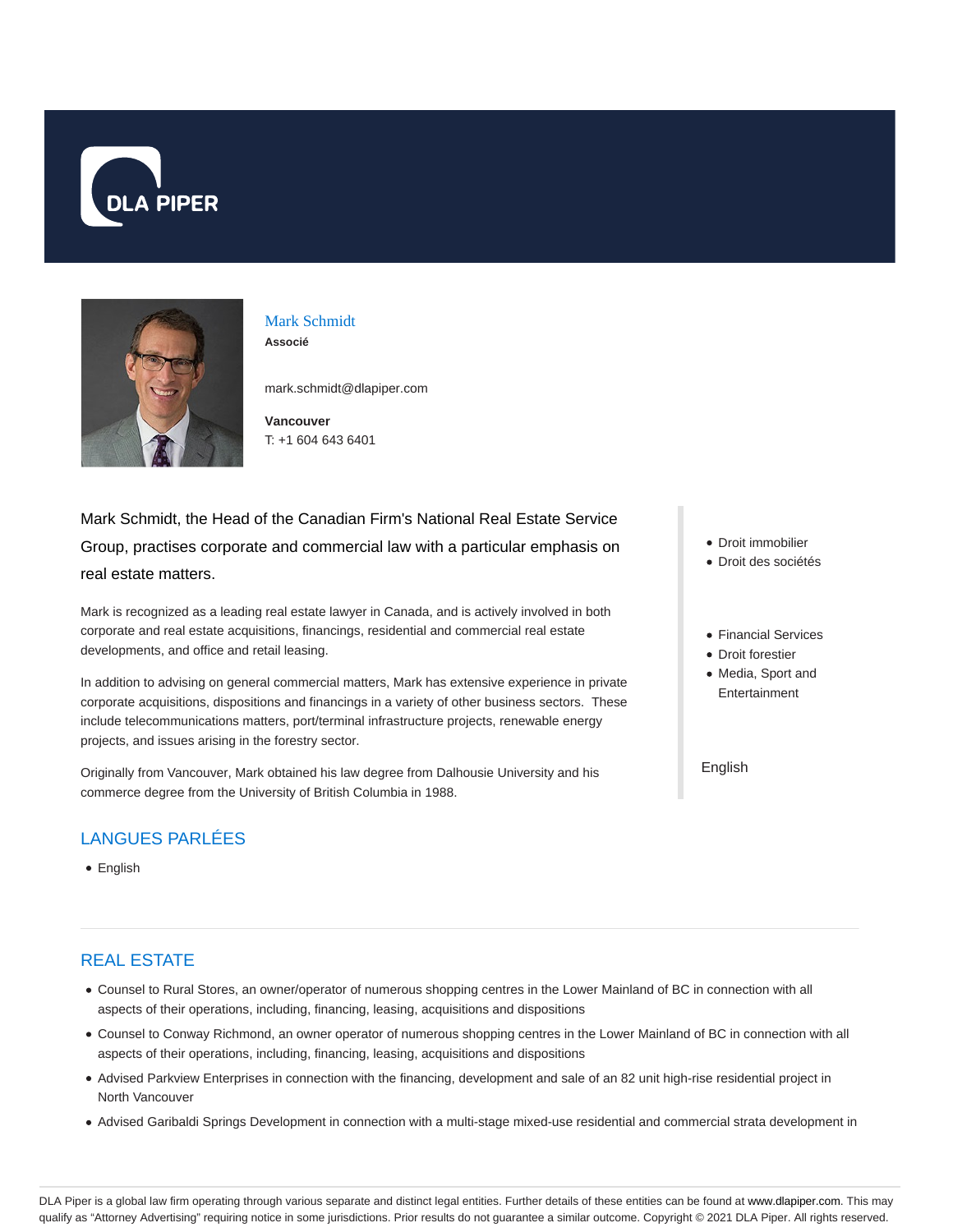



#### Mark Schmidt **Associé**

mark.schmidt@dlapiper.com

**Vancouver** T: +1 604 643 6401

# Mark Schmidt, the Head of the Canadian Firm's National Real Estate Service Group, practises corporate and commercial law with a particular emphasis on real estate matters.

Mark is recognized as a leading real estate lawyer in Canada, and is actively involved in both corporate and real estate acquisitions, financings, residential and commercial real estate developments, and office and retail leasing.

In addition to advising on general commercial matters, Mark has extensive experience in private corporate acquisitions, dispositions and financings in a variety of other business sectors. These include telecommunications matters, port/terminal infrastructure projects, renewable energy projects, and issues arising in the forestry sector.

Originally from Vancouver, Mark obtained his law degree from Dalhousie University and his commerce degree from the University of British Columbia in 1988.

## LANGUES PARLÉES

• English

## REAL ESTATE

- Counsel to Rural Stores, an owner/operator of numerous shopping centres in the Lower Mainland of BC in connection with all aspects of their operations, including, financing, leasing, acquisitions and dispositions
- Counsel to Conway Richmond, an owner operator of numerous shopping centres in the Lower Mainland of BC in connection with all aspects of their operations, including, financing, leasing, acquisitions and dispositions
- Advised Parkview Enterprises in connection with the financing, development and sale of an 82 unit high-rise residential project in North Vancouver
- Advised Garibaldi Springs Development in connection with a multi-stage mixed-use residential and commercial strata development in
- Droit immobilier
- Droit des sociétés
- Financial Services
- Droit forestier
- Media, Sport and Entertainment

English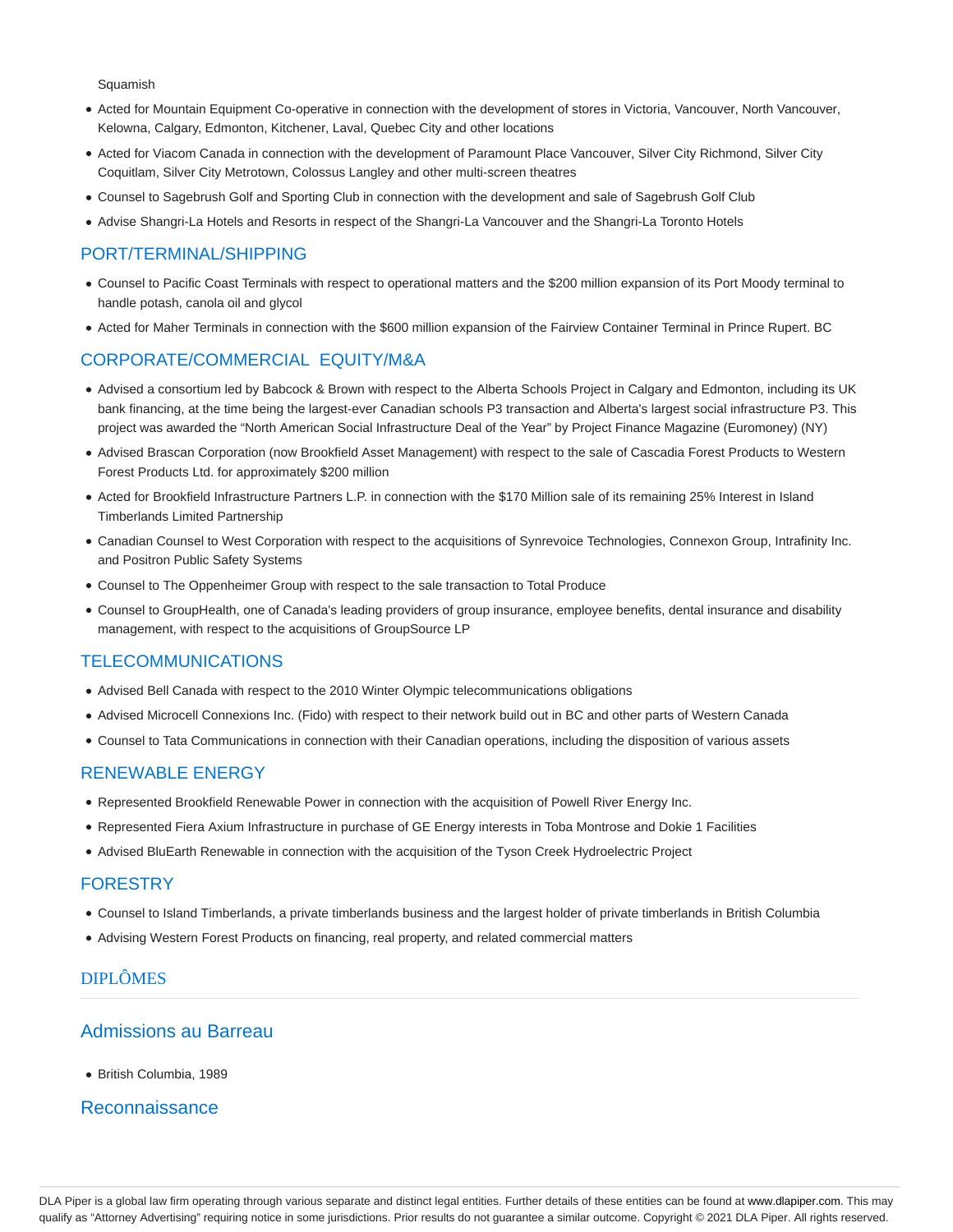**Squamish** 

- Acted for Mountain Equipment Co-operative in connection with the development of stores in Victoria, Vancouver, North Vancouver, Kelowna, Calgary, Edmonton, Kitchener, Laval, Quebec City and other locations
- Acted for Viacom Canada in connection with the development of Paramount Place Vancouver, Silver City Richmond, Silver City Coquitlam, Silver City Metrotown, Colossus Langley and other multi-screen theatres
- Counsel to Sagebrush Golf and Sporting Club in connection with the development and sale of Sagebrush Golf Club
- Advise Shangri-La Hotels and Resorts in respect of the Shangri-La Vancouver and the Shangri-La Toronto Hotels

## PORT/TERMINAL/SHIPPING

- Counsel to Pacific Coast Terminals with respect to operational matters and the \$200 million expansion of its Port Moody terminal to handle potash, canola oil and glycol
- Acted for Maher Terminals in connection with the \$600 million expansion of the Fairview Container Terminal in Prince Rupert. BC

### CORPORATE/COMMERCIAL EQUITY/M&A

- Advised a consortium led by Babcock & Brown with respect to the Alberta Schools Project in Calgary and Edmonton, including its UK bank financing, at the time being the largest-ever Canadian schools P3 transaction and Alberta's largest social infrastructure P3. This project was awarded the "North American Social Infrastructure Deal of the Year" by Project Finance Magazine (Euromoney) (NY)
- Advised Brascan Corporation (now Brookfield Asset Management) with respect to the sale of Cascadia Forest Products to Western Forest Products Ltd. for approximately \$200 million
- Acted for Brookfield Infrastructure Partners L.P. in connection with the \$170 Million sale of its remaining 25% Interest in Island Timberlands Limited Partnership
- Canadian Counsel to West Corporation with respect to the acquisitions of Synrevoice Technologies, Connexon Group, Intrafinity Inc. and Positron Public Safety Systems
- Counsel to The Oppenheimer Group with respect to the sale transaction to Total Produce
- Counsel to GroupHealth, one of Canada's leading providers of group insurance, employee benefits, dental insurance and disability management, with respect to the acquisitions of GroupSource LP

### TELECOMMUNICATIONS

- Advised Bell Canada with respect to the 2010 Winter Olympic telecommunications obligations
- Advised Microcell Connexions Inc. (Fido) with respect to their network build out in BC and other parts of Western Canada
- Counsel to Tata Communications in connection with their Canadian operations, including the disposition of various assets

#### RENEWABLE ENERGY

- Represented Brookfield Renewable Power in connection with the acquisition of Powell River Energy Inc.
- Represented Fiera Axium Infrastructure in purchase of GE Energy interests in Toba Montrose and Dokie 1 Facilities
- Advised BluEarth Renewable in connection with the acquisition of the Tyson Creek Hydroelectric Project

#### FORESTRY

- Counsel to Island Timberlands, a private timberlands business and the largest holder of private timberlands in British Columbia
- Advising Western Forest Products on financing, real property, and related commercial matters

## DIPLÔMES

## Admissions au Barreau

British Columbia, 1989

### Reconnaissance